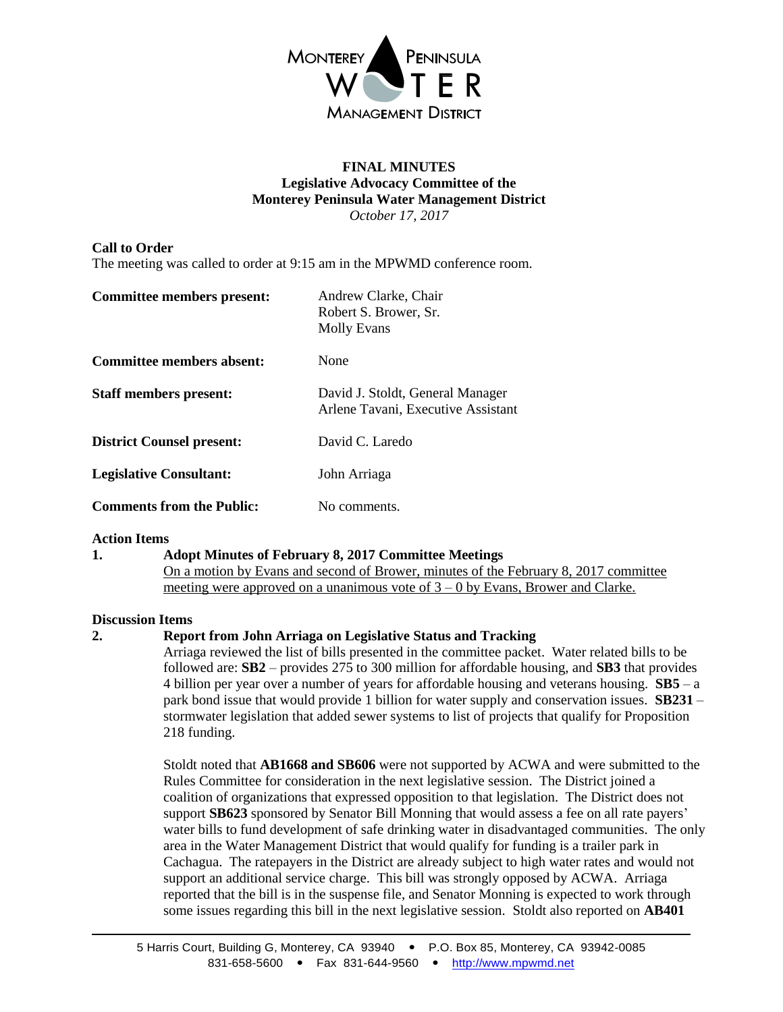

#### **FINAL MINUTES Legislative Advocacy Committee of the Monterey Peninsula Water Management District** *October 17, 2017*

# **Call to Order**

The meeting was called to order at 9:15 am in the MPWMD conference room.

| Committee members present:       | Andrew Clarke, Chair<br>Robert S. Brower, Sr.<br><b>Molly Evans</b>    |
|----------------------------------|------------------------------------------------------------------------|
| Committee members absent:        | None                                                                   |
| <b>Staff members present:</b>    | David J. Stoldt, General Manager<br>Arlene Tavani, Executive Assistant |
| <b>District Counsel present:</b> | David C. Laredo                                                        |
| <b>Legislative Consultant:</b>   | John Arriaga                                                           |
| <b>Comments from the Public:</b> | No comments.                                                           |

## **Action Items**

## **1. Adopt Minutes of February 8, 2017 Committee Meetings**

On a motion by Evans and second of Brower, minutes of the February 8, 2017 committee meeting were approved on a unanimous vote of  $3 - 0$  by Evans, Brower and Clarke.

## **Discussion Items**

## **2. Report from John Arriaga on Legislative Status and Tracking**

Arriaga reviewed the list of bills presented in the committee packet. Water related bills to be followed are: **SB2** – provides 275 to 300 million for affordable housing, and **SB3** that provides 4 billion per year over a number of years for affordable housing and veterans housing. **SB5** – a park bond issue that would provide 1 billion for water supply and conservation issues. **SB231** – stormwater legislation that added sewer systems to list of projects that qualify for Proposition 218 funding.

Stoldt noted that **AB1668 and SB606** were not supported by ACWA and were submitted to the Rules Committee for consideration in the next legislative session. The District joined a coalition of organizations that expressed opposition to that legislation. The District does not support **SB623** sponsored by Senator Bill Monning that would assess a fee on all rate payers' water bills to fund development of safe drinking water in disadvantaged communities. The only area in the Water Management District that would qualify for funding is a trailer park in Cachagua. The ratepayers in the District are already subject to high water rates and would not support an additional service charge. This bill was strongly opposed by ACWA. Arriaga reported that the bill is in the suspense file, and Senator Monning is expected to work through some issues regarding this bill in the next legislative session. Stoldt also reported on **AB401**